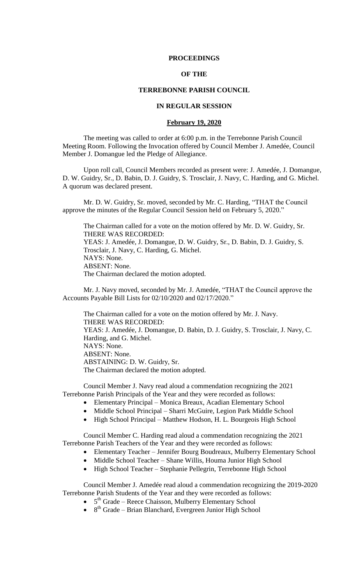### **PROCEEDINGS**

# **OF THE**

# **TERREBONNE PARISH COUNCIL**

### **IN REGULAR SESSION**

#### **February 19, 2020**

The meeting was called to order at 6:00 p.m. in the Terrebonne Parish Council Meeting Room. Following the Invocation offered by Council Member J. Amedée, Council Member J. Domangue led the Pledge of Allegiance.

Upon roll call, Council Members recorded as present were: J. Amedée, J. Domangue, D. W. Guidry, Sr., D. Babin, D. J. Guidry, S. Trosclair, J. Navy, C. Harding, and G. Michel. A quorum was declared present.

Mr. D. W. Guidry, Sr. moved, seconded by Mr. C. Harding, "THAT the Council approve the minutes of the Regular Council Session held on February 5, 2020."

The Chairman called for a vote on the motion offered by Mr. D. W. Guidry, Sr. THERE WAS RECORDED: YEAS: J. Amedée, J. Domangue, D. W. Guidry, Sr., D. Babin, D. J. Guidry, S. Trosclair, J. Navy, C. Harding, G. Michel. NAYS: None. ABSENT: None. The Chairman declared the motion adopted.

Mr. J. Navy moved, seconded by Mr. J. Amedée, "THAT the Council approve the Accounts Payable Bill Lists for 02/10/2020 and 02/17/2020."

The Chairman called for a vote on the motion offered by Mr. J. Navy. THERE WAS RECORDED: YEAS: J. Amedée, J. Domangue, D. Babin, D. J. Guidry, S. Trosclair, J. Navy, C. Harding, and G. Michel. NAYS: None. ABSENT: None. ABSTAINING: D. W. Guidry, Sr. The Chairman declared the motion adopted.

Council Member J. Navy read aloud a commendation recognizing the 2021 Terrebonne Parish Principals of the Year and they were recorded as follows:

- Elementary Principal Monica Breaux, Acadian Elementary School
- Middle School Principal Sharri McGuire, Legion Park Middle School
- High School Principal Matthew Hodson, H. L. Bourgeois High School

Council Member C. Harding read aloud a commendation recognizing the 2021 Terrebonne Parish Teachers of the Year and they were recorded as follows:

- Elementary Teacher Jennifer Bourg Boudreaux, Mulberry Elementary School
- Middle School Teacher Shane Willis, Houma Junior High School
- High School Teacher Stephanie Pellegrin, Terrebonne High School

Council Member J. Amedée read aloud a commendation recognizing the 2019-2020 Terrebonne Parish Students of the Year and they were recorded as follows:

- $\bullet$  5<sup>th</sup> Grade Reece Chaisson, Mulberry Elementary School
- $\bullet$  8<sup>th</sup> Grade Brian Blanchard, Evergreen Junior High School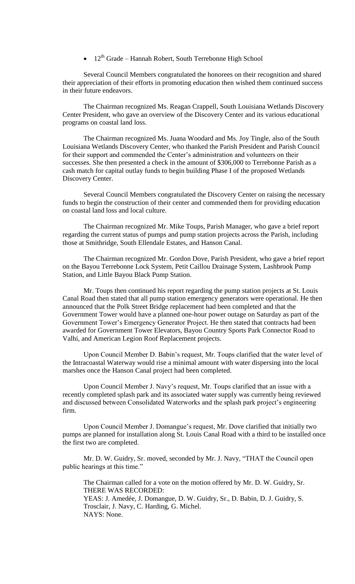$\bullet$  12<sup>th</sup> Grade – Hannah Robert, South Terrebonne High School

Several Council Members congratulated the honorees on their recognition and shared their appreciation of their efforts in promoting education then wished them continued success in their future endeavors.

The Chairman recognized Ms. Reagan Crappell, South Louisiana Wetlands Discovery Center President, who gave an overview of the Discovery Center and its various educational programs on coastal land loss.

The Chairman recognized Ms. Juana Woodard and Ms. Joy Tingle, also of the South Louisiana Wetlands Discovery Center, who thanked the Parish President and Parish Council for their support and commended the Center's administration and volunteers on their successes. She then presented a check in the amount of \$306,000 to Terrebonne Parish as a cash match for capital outlay funds to begin building Phase I of the proposed Wetlands Discovery Center.

Several Council Members congratulated the Discovery Center on raising the necessary funds to begin the construction of their center and commended them for providing education on coastal land loss and local culture.

The Chairman recognized Mr. Mike Toups, Parish Manager, who gave a brief report regarding the current status of pumps and pump station projects across the Parish, including those at Smithridge, South Ellendale Estates, and Hanson Canal.

The Chairman recognized Mr. Gordon Dove, Parish President, who gave a brief report on the Bayou Terrebonne Lock System, Petit Caillou Drainage System, Lashbrook Pump Station, and Little Bayou Black Pump Station.

Mr. Toups then continued his report regarding the pump station projects at St. Louis Canal Road then stated that all pump station emergency generators were operational. He then announced that the Polk Street Bridge replacement had been completed and that the Government Tower would have a planned one-hour power outage on Saturday as part of the Government Tower's Emergency Generator Project. He then stated that contracts had been awarded for Government Tower Elevators, Bayou Country Sports Park Connector Road to Valhi, and American Legion Roof Replacement projects.

Upon Council Member D. Babin's request, Mr. Toups clarified that the water level of the Intracoastal Waterway would rise a minimal amount with water dispersing into the local marshes once the Hanson Canal project had been completed.

Upon Council Member J. Navy's request, Mr. Toups clarified that an issue with a recently completed splash park and its associated water supply was currently being reviewed and discussed between Consolidated Waterworks and the splash park project's engineering firm.

Upon Council Member J. Domangue's request, Mr. Dove clarified that initially two pumps are planned for installation along St. Louis Canal Road with a third to be installed once the first two are completed.

Mr. D. W. Guidry, Sr. moved, seconded by Mr. J. Navy, "THAT the Council open public hearings at this time."

The Chairman called for a vote on the motion offered by Mr. D. W. Guidry, Sr. THERE WAS RECORDED: YEAS: J. Amedée, J. Domangue, D. W. Guidry, Sr., D. Babin, D. J. Guidry, S. Trosclair, J. Navy, C. Harding, G. Michel. NAYS: None.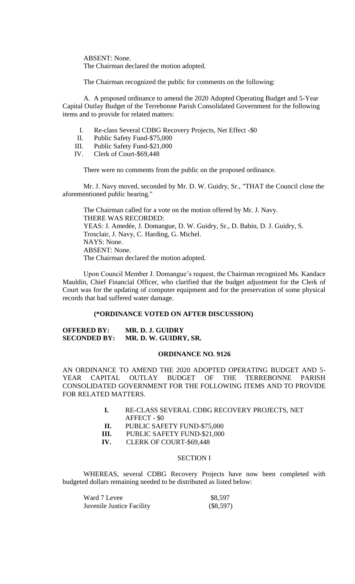ABSENT: None. The Chairman declared the motion adopted.

The Chairman recognized the public for comments on the following:

A. A proposed ordinance to amend the 2020 Adopted Operating Budget and 5-Year Capital Outlay Budget of the Terrebonne Parish Consolidated Government for the following items and to provide for related matters:

- I. Re-class Several CDBG Recovery Projects, Net Effect -\$0
- II. Public Safety Fund-\$75,000
- III. Public Safety Fund-\$21,000
- IV. Clerk of Court-\$69,448

There were no comments from the public on the proposed ordinance.

Mr. J. Navy moved, seconded by Mr. D. W. Guidry, Sr., "THAT the Council close the aforementioned public hearing."

The Chairman called for a vote on the motion offered by Mr. J. Navy. THERE WAS RECORDED: YEAS: J. Amedée, J. Domangue, D. W. Guidry, Sr., D. Babin, D. J. Guidry, S. Trosclair, J. Navy, C. Harding, G. Michel. NAYS: None. ABSENT: None. The Chairman declared the motion adopted.

Upon Council Member J. Domangue's request, the Chairman recognized Ms. Kandace Mauldin, Chief Financial Officer, who clarified that the budget adjustment for the Clerk of Court was for the updating of computer equipment and for the preservation of some physical records that had suffered water damage.

### **(\*ORDINANCE VOTED ON AFTER DISCUSSION)**

**OFFERED BY: MR. D. J. GUIDRY SECONDED BY: MR. D. W. GUIDRY, SR.**

### **ORDINANCE NO. 9126**

AN ORDINANCE TO AMEND THE 2020 ADOPTED OPERATING BUDGET AND 5- YEAR CAPITAL OUTLAY BUDGET OF THE TERREBONNE PARISH CONSOLIDATED GOVERNMENT FOR THE FOLLOWING ITEMS AND TO PROVIDE FOR RELATED MATTERS.

| RE-CLASS SEVERAL CDBG RECOVERY PROJECTS, NET |
|----------------------------------------------|
| AFFECT - \$0                                 |

- **II.** PUBLIC SAFETY FUND-\$75,000
- **III.** PUBLIC SAFETY FUND-\$21,000
- **IV.** CLERK OF COURT-\$69,448

### SECTION I

WHEREAS, several CDBG Recovery Projects have now been completed with budgeted dollars remaining needed to be distributed as listed below:

| Ward 7 Levee              | \$8,597     |
|---------------------------|-------------|
| Juvenile Justice Facility | $(\$8,597)$ |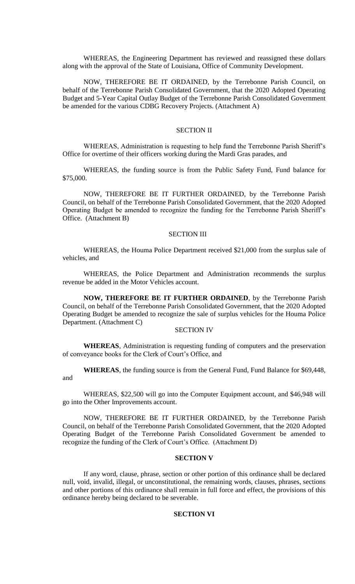WHEREAS, the Engineering Department has reviewed and reassigned these dollars along with the approval of the State of Louisiana, Office of Community Development.

NOW, THEREFORE BE IT ORDAINED, by the Terrebonne Parish Council, on behalf of the Terrebonne Parish Consolidated Government, that the 2020 Adopted Operating Budget and 5-Year Capital Outlay Budget of the Terrebonne Parish Consolidated Government be amended for the various CDBG Recovery Projects. (Attachment A)

### SECTION II

WHEREAS, Administration is requesting to help fund the Terrebonne Parish Sheriff's Office for overtime of their officers working during the Mardi Gras parades, and

WHEREAS, the funding source is from the Public Safety Fund, Fund balance for \$75,000.

NOW, THEREFORE BE IT FURTHER ORDAINED, by the Terrebonne Parish Council, on behalf of the Terrebonne Parish Consolidated Government, that the 2020 Adopted Operating Budget be amended to recognize the funding for the Terrebonne Parish Sheriff's Office. (Attachment B)

### SECTION III

WHEREAS, the Houma Police Department received \$21,000 from the surplus sale of vehicles, and

WHEREAS, the Police Department and Administration recommends the surplus revenue be added in the Motor Vehicles account.

**NOW, THEREFORE BE IT FURTHER ORDAINED**, by the Terrebonne Parish Council, on behalf of the Terrebonne Parish Consolidated Government, that the 2020 Adopted Operating Budget be amended to recognize the sale of surplus vehicles for the Houma Police Department. (Attachment C)

### SECTION IV

**WHEREAS**, Administration is requesting funding of computers and the preservation of conveyance books for the Clerk of Court's Office, and

**WHEREAS**, the funding source is from the General Fund, Fund Balance for \$69,448, and

WHEREAS, \$22,500 will go into the Computer Equipment account, and \$46,948 will go into the Other Improvements account.

NOW, THEREFORE BE IT FURTHER ORDAINED, by the Terrebonne Parish Council, on behalf of the Terrebonne Parish Consolidated Government, that the 2020 Adopted Operating Budget of the Terrebonne Parish Consolidated Government be amended to recognize the funding of the Clerk of Court's Office. (Attachment D)

## **SECTION V**

If any word, clause, phrase, section or other portion of this ordinance shall be declared null, void, invalid, illegal, or unconstitutional, the remaining words, clauses, phrases, sections and other portions of this ordinance shall remain in full force and effect, the provisions of this ordinance hereby being declared to be severable.

### **SECTION VI**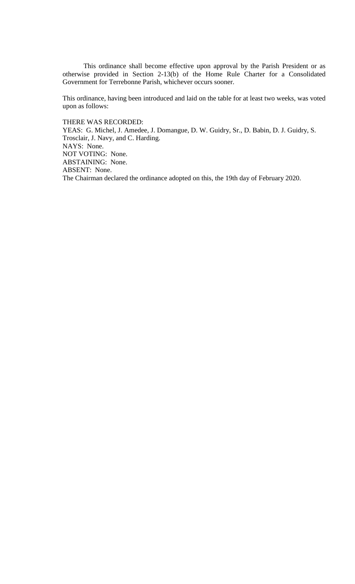This ordinance shall become effective upon approval by the Parish President or as otherwise provided in Section 2-13(b) of the Home Rule Charter for a Consolidated Government for Terrebonne Parish, whichever occurs sooner.

This ordinance, having been introduced and laid on the table for at least two weeks, was voted upon as follows:

THERE WAS RECORDED:

YEAS: G. Michel, J. Amedee, J. Domangue, D. W. Guidry, Sr., D. Babin, D. J. Guidry, S. Trosclair, J. Navy, and C. Harding. NAYS: None. NOT VOTING: None. ABSTAINING: None. ABSENT: None. The Chairman declared the ordinance adopted on this, the 19th day of February 2020.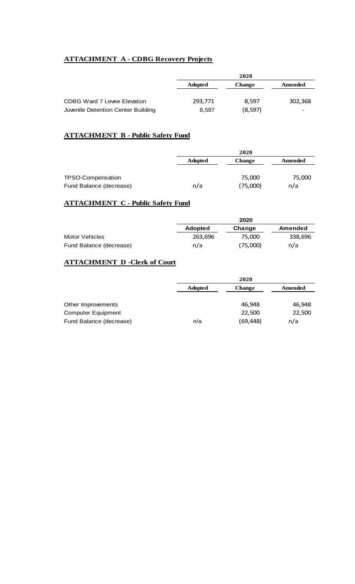# **ATTACHMENT A - CDBG Recovery Projects**

|                                    | 2020           |               |         |
|------------------------------------|----------------|---------------|---------|
|                                    | <b>Adopted</b> | <b>Change</b> | Amended |
|                                    |                |               |         |
| CDBG Ward 7 Levee Elevation        | 293,771        | 8.597         | 302,368 |
| Juvenile Detention Center Building | 8,597          | (8, 597)      | -       |

# **ATTACHMENT B - Public Safety Fund**

|                         |                | 2020          |         |
|-------------------------|----------------|---------------|---------|
|                         | <b>Adopted</b> | <b>Change</b> | Amended |
|                         |                |               |         |
| TPSO-Compensation       |                | 75,000        | 75,000  |
| Fund Balance (decrease) | n/a            | (75,000)      | n/a     |

# **ATTACHMENT C - Public Safety Fund**

|                         |                | 2020     |         |
|-------------------------|----------------|----------|---------|
|                         | <b>Adopted</b> | Change   | Amended |
| Motor Vehicles          | 263.696        | 75.000   | 338,696 |
| Fund Balance (decrease) | n/a            | (75,000) | n/a     |

# **ATTACHMENT D -Clerk of Court**

|                           | 2020                                       |           |        |
|---------------------------|--------------------------------------------|-----------|--------|
|                           | <b>Adopted</b><br>Amended<br><b>Change</b> |           |        |
|                           |                                            |           |        |
| Other Improvements        |                                            | 46.948    | 46,948 |
| <b>Computer Equipment</b> |                                            | 22,500    | 22,500 |
| Fund Balance (decrease)   | n/a                                        | (69, 448) | n/a    |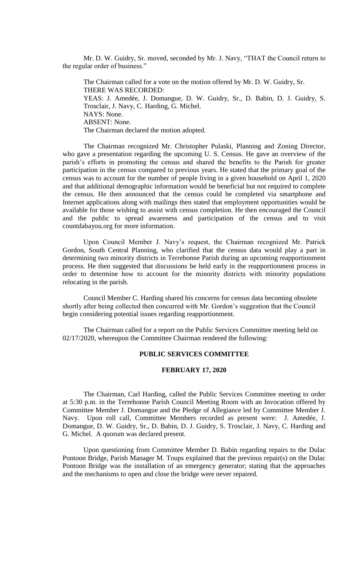Mr. D. W. Guidry, Sr. moved, seconded by Mr. J. Navy, "THAT the Council return to the regular order of business."

The Chairman called for a vote on the motion offered by Mr. D. W. Guidry, Sr. THERE WAS RECORDED: YEAS: J. Amedée, J. Domangue, D. W. Guidry, Sr., D. Babin, D. J. Guidry, S. Trosclair, J. Navy, C. Harding, G. Michel. NAYS: None. ABSENT: None. The Chairman declared the motion adopted.

The Chairman recognized Mr. Christopher Pulaski, Planning and Zoning Director, who gave a presentation regarding the upcoming U. S. Census. He gave an overview of the parish's efforts in promoting the census and shared the benefits to the Parish for greater participation in the census compared to previous years. He stated that the primary goal of the census was to account for the number of people living in a given household on April 1, 2020 and that additional demographic information would be beneficial but not required to complete the census. He then announced that the census could be completed via smartphone and Internet applications along with mailings then stated that employment opportunities would be available for those wishing to assist with census completion. He then encouraged the Council and the public to spread awareness and participation of the census and to visit countdabayou.org for more information.

Upon Council Member J. Navy's request, the Chairman recognized Mr. Patrick Gordon, South Central Planning, who clarified that the census data would play a part in determining two minority districts in Terrebonne Parish during an upcoming reapportionment process. He then suggested that discussions be held early in the reapportionment process in order to determine how to account for the minority districts with minority populations relocating in the parish.

Council Member C. Harding shared his concerns for census data becoming obsolete shortly after being collected then concurred with Mr. Gordon's suggestion that the Council begin considering potential issues regarding reapportionment.

The Chairman called for a report on the Public Services Committee meeting held on 02/17/2020, whereupon the Committee Chairman rendered the following:

# **PUBLIC SERVICES COMMITTEE**

### **FEBRUARY 17, 2020**

The Chairman, Carl Harding, called the Public Services Committee meeting to order at 5:30 p.m. in the Terrebonne Parish Council Meeting Room with an Invocation offered by Committee Member J. Domangue and the Pledge of Allegiance led by Committee Member J. Navy. Upon roll call, Committee Members recorded as present were: J. Amedée, J. Domangue, D. W. Guidry, Sr., D. Babin, D. J. Guidry, S. Trosclair, J. Navy, C. Harding and G. Michel. A quorum was declared present.

Upon questioning from Committee Member D. Babin regarding repairs to the Dulac Pontoon Bridge, Parish Manager M. Toups explained that the previous repair(s) on the Dulac Pontoon Bridge was the installation of an emergency generator; stating that the approaches and the mechanisms to open and close the bridge were never repaired.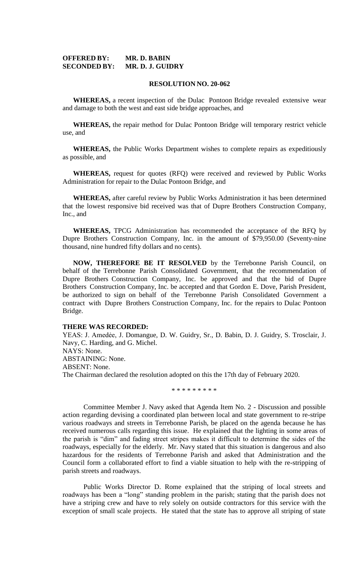### **OFFERED BY: MR. D. BABIN SECONDED BY: MR. D. J. GUIDRY**

#### **RESOLUTION NO. 20-062**

**WHEREAS,** a recent inspection of the Dulac Pontoon Bridge revealed extensive wear and damage to both the west and east side bridge approaches, and

**WHEREAS,** the repair method for Dulac Pontoon Bridge will temporary restrict vehicle use, and

**WHEREAS,** the Public Works Department wishes to complete repairs as expeditiously as possible, and

**WHEREAS,** request for quotes (RFQ) were received and reviewed by Public Works Administration for repair to the Dulac Pontoon Bridge, and

**WHEREAS,** after careful review by Public Works Administration it has been determined that the lowest responsive bid received was that of Dupre Brothers Construction Company, Inc., and

**WHEREAS,** TPCG Administration has recommended the acceptance of the RFQ by Dupre Brothers Construction Company, Inc. in the amount of \$79,950.00 (Seventy-nine thousand, nine hundred fifty dollars and no cents).

**NOW, THEREFORE BE IT RESOLVED** by the Terrebonne Parish Council, on behalf of the Terrebonne Parish Consolidated Government, that the recommendation of Dupre Brothers Construction Company, Inc. be approved and that the bid of Dupre Brothers Construction Company, Inc. be accepted and that Gordon E. Dove, Parish President, be authorized to sign on behalf of the Terrebonne Parish Consolidated Government a contract with Dupre Brothers Construction Company, Inc. for the repairs to Dulac Pontoon Bridge.

### **THERE WAS RECORDED:**

YEAS: J. Amedẻe, J. Domangue, D. W. Guidry, Sr., D. Babin, D. J. Guidry, S. Trosclair, J. Navy, C. Harding, and G. Michel. NAYS: None. ABSTAINING: None. ABSENT: None. The Chairman declared the resolution adopted on this the 17th day of February 2020.

\* \* \* \* \* \* \* \* \*

Committee Member J. Navy asked that Agenda Item No. 2 - Discussion and possible action regarding devising a coordinated plan between local and state government to re-stripe various roadways and streets in Terrebonne Parish, be placed on the agenda because he has received numerous calls regarding this issue. He explained that the lighting in some areas of the parish is "dim" and fading street stripes makes it difficult to determine the sides of the roadways, especially for the elderly. Mr. Navy stated that this situation is dangerous and also hazardous for the residents of Terrebonne Parish and asked that Administration and the Council form a collaborated effort to find a viable situation to help with the re-stripping of parish streets and roadways.

Public Works Director D. Rome explained that the striping of local streets and roadways has been a "long" standing problem in the parish; stating that the parish does not have a striping crew and have to rely solely on outside contractors for this service with the exception of small scale projects. He stated that the state has to approve all striping of state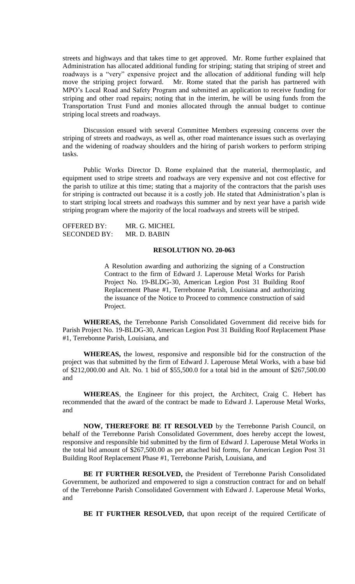streets and highways and that takes time to get approved. Mr. Rome further explained that Administration has allocated additional funding for striping; stating that striping of street and roadways is a "very" expensive project and the allocation of additional funding will help<br>move the striping project forward. Mr. Rome stated that the parish has partnered with Mr. Rome stated that the parish has partnered with MPO's Local Road and Safety Program and submitted an application to receive funding for striping and other road repairs; noting that in the interim, he will be using funds from the Transportation Trust Fund and monies allocated through the annual budget to continue striping local streets and roadways.

Discussion ensued with several Committee Members expressing concerns over the striping of streets and roadways, as well as, other road maintenance issues such as overlaying and the widening of roadway shoulders and the hiring of parish workers to perform striping tasks.

Public Works Director D. Rome explained that the material, thermoplastic, and equipment used to stripe streets and roadways are very expensive and not cost effective for the parish to utilize at this time; stating that a majority of the contractors that the parish uses for striping is contracted out because it is a costly job. He stated that Administration's plan is to start striping local streets and roadways this summer and by next year have a parish wide striping program where the majority of the local roadways and streets will be striped.

| <b>OFFERED BY:</b>  | MR. G. MICHEL |
|---------------------|---------------|
| <b>SECONDED BY:</b> | MR. D. BABIN  |

# **RESOLUTION NO. 20-063**

A Resolution awarding and authorizing the signing of a Construction Contract to the firm of Edward J. Laperouse Metal Works for Parish Project No. 19-BLDG-30, American Legion Post 31 Building Roof Replacement Phase #1, Terrebonne Parish, Louisiana and authorizing the issuance of the Notice to Proceed to commence construction of said Project.

**WHEREAS,** the Terrebonne Parish Consolidated Government did receive bids for Parish Project No. 19-BLDG-30, American Legion Post 31 Building Roof Replacement Phase #1, Terrebonne Parish, Louisiana, and

**WHEREAS,** the lowest, responsive and responsible bid for the construction of the project was that submitted by the firm of Edward J. Laperouse Metal Works, with a base bid of \$212,000.00 and Alt. No. 1 bid of \$55,500.0 for a total bid in the amount of \$267,500.00 and

**WHEREAS**, the Engineer for this project, the Architect, Craig C. Hebert has recommended that the award of the contract be made to Edward J. Laperouse Metal Works, and

**NOW, THEREFORE BE IT RESOLVED** by the Terrebonne Parish Council, on behalf of the Terrebonne Parish Consolidated Government, does hereby accept the lowest, responsive and responsible bid submitted by the firm of Edward J. Laperouse Metal Works in the total bid amount of \$267,500.00 as per attached bid forms, for American Legion Post 31 Building Roof Replacement Phase #1, Terrebonne Parish, Louisiana, and

**BE IT FURTHER RESOLVED,** the President of Terrebonne Parish Consolidated Government, be authorized and empowered to sign a construction contract for and on behalf of the Terrebonne Parish Consolidated Government with Edward J. Laperouse Metal Works, and

BE IT FURTHER RESOLVED, that upon receipt of the required Certificate of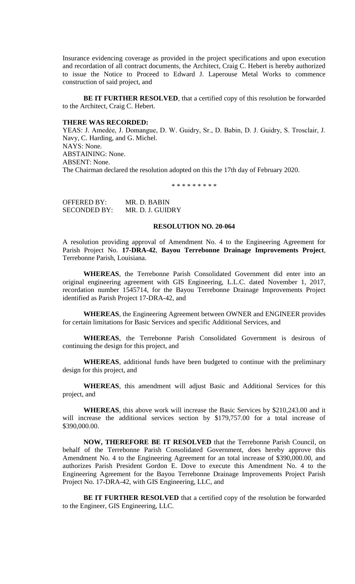Insurance evidencing coverage as provided in the project specifications and upon execution and recordation of all contract documents, the Architect, Craig C. Hebert is hereby authorized to issue the Notice to Proceed to Edward J. Laperouse Metal Works to commence construction of said project, and

**BE IT FURTHER RESOLVED**, that a certified copy of this resolution be forwarded to the Architect, Craig C. Hebert.

#### **THERE WAS RECORDED:**

YEAS: J. Amedẻe, J. Domangue, D. W. Guidry, Sr., D. Babin, D. J. Guidry, S. Trosclair, J. Navy, C. Harding, and G. Michel. NAYS: None. ABSTAINING: None. ABSENT: None. The Chairman declared the resolution adopted on this the 17th day of February 2020.

\* \* \* \* \* \* \* \* \*

OFFERED BY: MR. D. BABIN SECONDED BY: MR. D. J. GUIDRY

## **RESOLUTION NO. 20-064**

A resolution providing approval of Amendment No. 4 to the Engineering Agreement for Parish Project No. **17-DRA-42**, **Bayou Terrebonne Drainage Improvements Project**, Terrebonne Parish, Louisiana.

**WHEREAS**, the Terrebonne Parish Consolidated Government did enter into an original engineering agreement with GIS Engineering, L.L.C. dated November 1, 2017, recordation number 1545714, for the Bayou Terrebonne Drainage Improvements Project identified as Parish Project 17-DRA-42, and

**WHEREAS**, the Engineering Agreement between OWNER and ENGINEER provides for certain limitations for Basic Services and specific Additional Services, and

**WHEREAS**, the Terrebonne Parish Consolidated Government is desirous of continuing the design for this project, and

**WHEREAS**, additional funds have been budgeted to continue with the preliminary design for this project, and

**WHEREAS**, this amendment will adjust Basic and Additional Services for this project, and

**WHEREAS**, this above work will increase the Basic Services by \$210,243.00 and it will increase the additional services section by \$179,757.00 for a total increase of \$390,000.00.

**NOW, THEREFORE BE IT RESOLVED** that the Terrebonne Parish Council, on behalf of the Terrebonne Parish Consolidated Government, does hereby approve this Amendment No. 4 to the Engineering Agreement for an total increase of \$390,000.00, and authorizes Parish President Gordon E. Dove to execute this Amendment No. 4 to the Engineering Agreement for the Bayou Terrebonne Drainage Improvements Project Parish Project No. 17-DRA-42, with GIS Engineering, LLC, and

**BE IT FURTHER RESOLVED** that a certified copy of the resolution be forwarded to the Engineer, GIS Engineering, LLC.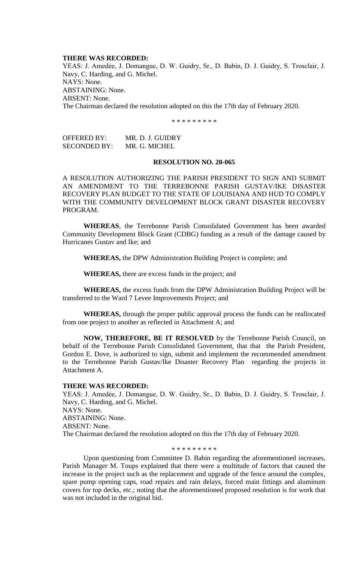#### **THERE WAS RECORDED:**

YEAS: J. Amedėe, J. Domangue, D. W. Guidry, Sr., D. Babin, D. J. Guidry, S. Trosclair, J. Navy, C. Harding, and G. Michel. NAYS: None. ABSTAINING: None. ABSENT: None. The Chairman declared the resolution adopted on this the 17th day of February 2020.

\* \* \* \* \* \* \* \* \*

| OFFERED BY:  | MR. D. J. GUIDRY |
|--------------|------------------|
| SECONDED BY: | MR. G. MICHEL    |

### **RESOLUTION NO. 20-065**

A RESOLUTION AUTHORIZING THE PARISH PRESIDENT TO SIGN AND SUBMIT AN AMENDMENT TO THE TERREBONNE PARISH GUSTAV/IKE DISASTER RECOVERY PLAN BUDGET TO THE STATE OF LOUISIANA AND HUD TO COMPLY WITH THE COMMUNITY DEVELOPMENT BLOCK GRANT DISASTER RECOVERY PROGRAM.

**WHEREAS**, the Terrebonne Parish Consolidated Government has been awarded Community Development Block Grant (CDBG) funding as a result of the damage caused by Hurricanes Gustav and Ike; and

**WHEREAS,** the DPW Administration Building Project is complete; and

**WHEREAS,** there are excess funds in the project; and

**WHEREAS,** the excess funds from the DPW Administration Building Project will be transferred to the Ward 7 Levee Improvements Project; and

**WHEREAS,** through the proper public approval process the funds can be reallocated from one project to another as reflected in Attachment A; and

**NOW, THEREFORE, BE IT RESOLVED** by the Terrebonne Parish Council, on behalf of the Terrebonne Parish Consolidated Government, that that the Parish President, Gordon E. Dove, is authorized to sign, submit and implement the recommended amendment to the Terrebonne Parish Gustav/Ike Disaster Recovery Plan regarding the projects in Attachment A.

#### **THERE WAS RECORDED:**

YEAS: J. Amedėe, J. Domangue, D. W. Guidry, Sr., D. Babin, D. J. Guidry, S. Trosclair, J. Navy, C. Harding, and G. Michel. NAYS: None. ABSTAINING: None. ABSENT: None. The Chairman declared the resolution adopted on this the 17th day of February 2020.

### \* \* \* \* \* \* \* \* \*

Upon questioning from Committee D. Babin regarding the aforementioned increases, Parish Manager M. Toups explained that there were a multitude of factors that caused the increase in the project such as the replacement and upgrade of the fence around the complex, spare pump opening caps, road repairs and rain delays, forced main fittings and aluminum covers for top decks, etc.; noting that the aforementioned proposed resolution is for work that was not included in the original bid.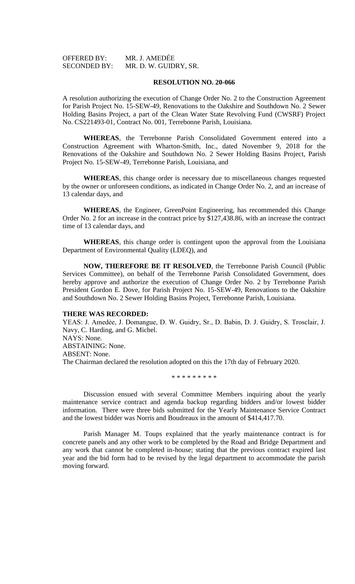| <b>OFFERED BY:</b>  | MR. J. AMEDËE         |
|---------------------|-----------------------|
| <b>SECONDED BY:</b> | MR. D. W. GUIDRY, SR. |

#### **RESOLUTION NO. 20-066**

A resolution authorizing the execution of Change Order No. 2 to the Construction Agreement for Parish Project No. 15-SEW-49, Renovations to the Oakshire and Southdown No. 2 Sewer Holding Basins Project, a part of the Clean Water State Revolving Fund (CWSRF) Project No. CS221493-01, Contract No. 001, Terrebonne Parish, Louisiana.

**WHEREAS**, the Terrebonne Parish Consolidated Government entered into a Construction Agreement with Wharton-Smith, Inc., dated November 9, 2018 for the Renovations of the Oakshire and Southdown No. 2 Sewer Holding Basins Project, Parish Project No. 15-SEW-49, Terrebonne Parish, Louisiana, and

**WHEREAS**, this change order is necessary due to miscellaneous changes requested by the owner or unforeseen conditions, as indicated in Change Order No. 2, and an increase of 13 calendar days, and

**WHEREAS**, the Engineer, GreenPoint Engineering, has recommended this Change Order No. 2 for an increase in the contract price by \$127,438.86, with an increase the contract time of 13 calendar days, and

**WHEREAS**, this change order is contingent upon the approval from the Louisiana Department of Environmental Quality (LDEQ), and

**NOW, THEREFORE BE IT RESOLVED**, the Terrebonne Parish Council (Public Services Committee), on behalf of the Terrebonne Parish Consolidated Government, does hereby approve and authorize the execution of Change Order No. 2 by Terrebonne Parish President Gordon E. Dove, for Parish Project No. 15-SEW-49, Renovations to the Oakshire and Southdown No. 2 Sewer Holding Basins Project, Terrebonne Parish, Louisiana.

#### **THERE WAS RECORDED:**

YEAS: J. Amedėe, J. Domangue, D. W. Guidry, Sr., D. Babin, D. J. Guidry, S. Trosclair, J. Navy, C. Harding, and G. Michel. NAYS: None. ABSTAINING: None. ABSENT: None. The Chairman declared the resolution adopted on this the 17th day of February 2020.

\* \* \* \* \* \* \* \* \*

Discussion ensued with several Committee Members inquiring about the yearly maintenance service contract and agenda backup regarding bidders and/or lowest bidder information. There were three bids submitted for the Yearly Maintenance Service Contract and the lowest bidder was Norris and Boudreaux in the amount of \$414,417.70.

Parish Manager M. Toups explained that the yearly maintenance contract is for concrete panels and any other work to be completed by the Road and Bridge Department and any work that cannot be completed in-house; stating that the previous contract expired last year and the bid form had to be revised by the legal department to accommodate the parish moving forward.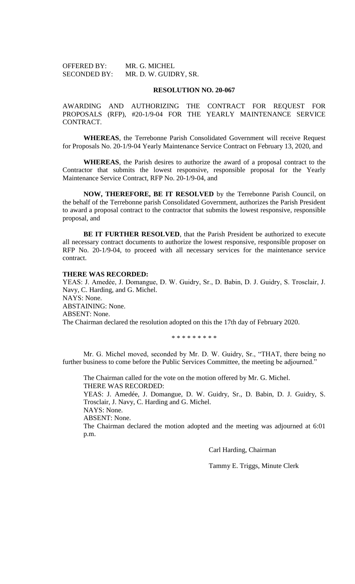| <b>OFFERED BY:</b>  | MR. G. MICHEL         |
|---------------------|-----------------------|
| <b>SECONDED BY:</b> | MR. D. W. GUIDRY, SR. |

### **RESOLUTION NO. 20-067**

AWARDING AND AUTHORIZING THE CONTRACT FOR REQUEST FOR PROPOSALS (RFP), #20-1/9-04 FOR THE YEARLY MAINTENANCE SERVICE CONTRACT.

**WHEREAS**, the Terrebonne Parish Consolidated Government will receive Request for Proposals No. 20-1/9-04 Yearly Maintenance Service Contract on February 13, 2020, and

**WHEREAS**, the Parish desires to authorize the award of a proposal contract to the Contractor that submits the lowest responsive, responsible proposal for the Yearly Maintenance Service Contract, RFP No. 20-1/9-04, and

**NOW, THEREFORE, BE IT RESOLVED** by the Terrebonne Parish Council, on the behalf of the Terrebonne parish Consolidated Government, authorizes the Parish President to award a proposal contract to the contractor that submits the lowest responsive, responsible proposal, and

**BE IT FURTHER RESOLVED**, that the Parish President be authorized to execute all necessary contract documents to authorize the lowest responsive, responsible proposer on RFP No. 20-1/9-04, to proceed with all necessary services for the maintenance service contract.

#### **THERE WAS RECORDED:**

YEAS: J. Amedẻe, J. Domangue, D. W. Guidry, Sr., D. Babin, D. J. Guidry, S. Trosclair, J. Navy, C. Harding, and G. Michel. NAYS: None. ABSTAINING: None. ABSENT: None. The Chairman declared the resolution adopted on this the 17th day of February 2020.

\* \* \* \* \* \* \* \* \*

Mr. G. Michel moved, seconded by Mr. D. W. Guidry, Sr., "THAT, there being no further business to come before the Public Services Committee, the meeting be adjourned.'

The Chairman called for the vote on the motion offered by Mr. G. Michel. THERE WAS RECORDED: YEAS: J. Amedée, J. Domangue, D. W. Guidry, Sr., D. Babin, D. J. Guidry, S.

Trosclair, J. Navy, C. Harding and G. Michel.

NAYS: None.

ABSENT: None.

The Chairman declared the motion adopted and the meeting was adjourned at 6:01 p.m.

Carl Harding, Chairman

Tammy E. Triggs, Minute Clerk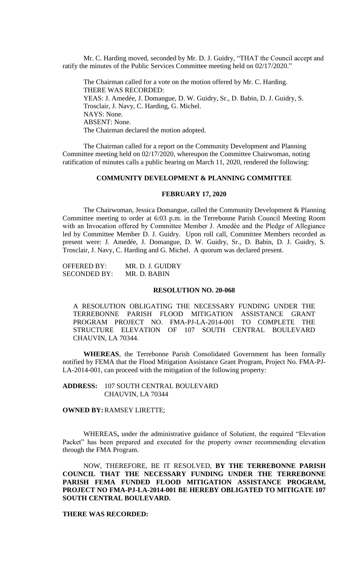Mr. C. Harding moved, seconded by Mr. D. J. Guidry, "THAT the Council accept and ratify the minutes of the Public Services Committee meeting held on 02/17/2020."

The Chairman called for a vote on the motion offered by Mr. C. Harding. THERE WAS RECORDED: YEAS: J. Amedée, J. Domangue, D. W. Guidry, Sr., D. Babin, D. J. Guidry, S. Trosclair, J. Navy, C. Harding, G. Michel. NAYS: None. ABSENT: None. The Chairman declared the motion adopted.

The Chairman called for a report on the Community Development and Planning Committee meeting held on 02/17/2020, whereupon the Committee Chairwoman, noting ratification of minutes calls a public hearing on March 11, 2020, rendered the following:

### **COMMUNITY DEVELOPMENT & PLANNING COMMITTEE**

### **FEBRUARY 17, 2020**

The Chairwoman, Jessica Domangue, called the Community Development & Planning Committee meeting to order at 6:03 p.m. in the Terrebonne Parish Council Meeting Room with an Invocation offered by Committee Member J. Amedèe and the Pledge of Allegiance led by Committee Member D. J. Guidry. Upon roll call, Committee Members recorded as present were: J. Amedée, J. Domangue, D. W. Guidry, Sr., D. Babin, D. J. Guidry, S. Trosclair, J. Navy, C. Harding and G. Michel. A quorum was declared present.

OFFERED BY: MR. D. J. GUIDRY SECONDED BY: MR. D. BABIN

### **RESOLUTION NO. 20-068**

A RESOLUTION OBLIGATING THE NECESSARY FUNDING UNDER THE TERREBONNE PARISH FLOOD MITIGATION ASSISTANCE GRANT PROGRAM PROJECT NO. FMA-PJ-LA-2014-001 TO COMPLETE THE STRUCTURE ELEVATION OF 107 SOUTH CENTRAL BOULEVARD CHAUVIN, LA 70344.

**WHEREAS**, the Terrebonne Parish Consolidated Government has been formally notified by FEMA that the Flood Mitigation Assistance Grant Program, Project No. FMA-PJ-LA-2014-001, can proceed with the mitigation of the following property:

**ADDRESS:** 107 SOUTH CENTRAL BOULEVARD CHAUVIN, LA 70344

**OWNED BY:**RAMSEY LIRETTE;

WHEREAS**,** under the administrative guidance of Solutient, the required "Elevation Packet" has been prepared and executed for the property owner recommending elevation through the FMA Program.

NOW, THEREFORE, BE IT RESOLVED, **BY THE TERREBONNE PARISH COUNCIL THAT THE NECESSARY FUNDING UNDER THE TERREBONNE PARISH FEMA FUNDED FLOOD MITIGATION ASSISTANCE PROGRAM, PROJECT NO FMA-PJ-LA-2014-001 BE HEREBY OBLIGATED TO MITIGATE 107 SOUTH CENTRAL BOULEVARD.**

### **THERE WAS RECORDED:**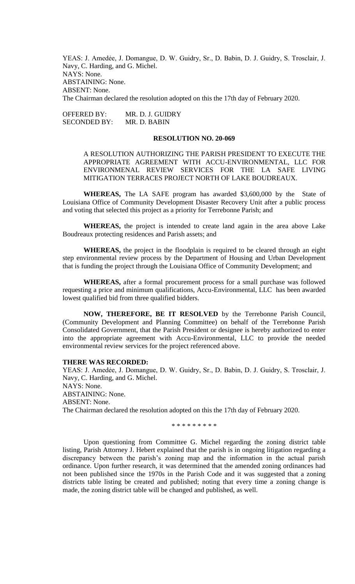YEAS: J. Amedėe, J. Domangue, D. W. Guidry, Sr., D. Babin, D. J. Guidry, S. Trosclair, J. Navy, C. Harding, and G. Michel. NAYS: None. ABSTAINING: None. ABSENT: None. The Chairman declared the resolution adopted on this the 17th day of February 2020.

OFFERED BY: MR. D. J. GUIDRY SECONDED BY: MR. D. BABIN

### **RESOLUTION NO. 20-069**

A RESOLUTION AUTHORIZING THE PARISH PRESIDENT TO EXECUTE THE APPROPRIATE AGREEMENT WITH ACCU-ENVIRONMENTAL, LLC FOR ENVIRONMENAL REVIEW SERVICES FOR THE LA SAFE LIVING MITIGATION TERRACES PROJECT NORTH OF LAKE BOUDREAUX.

**WHEREAS,** The LA SAFE program has awarded \$3,600,000 by the State of Louisiana Office of Community Development Disaster Recovery Unit after a public process and voting that selected this project as a priority for Terrebonne Parish; and

**WHEREAS,** the project is intended to create land again in the area above Lake Boudreaux protecting residences and Parish assets; and

**WHEREAS,** the project in the floodplain is required to be cleared through an eight step environmental review process by the Department of Housing and Urban Development that is funding the project through the Louisiana Office of Community Development; and

**WHEREAS,** after a formal procurement process for a small purchase was followed requesting a price and minimum qualifications, Accu-Environmental, LLC has been awarded lowest qualified bid from three qualified bidders.

**NOW, THEREFORE, BE IT RESOLVED** by the Terrebonne Parish Council, (Community Development and Planning Committee) on behalf of the Terrebonne Parish Consolidated Government, that the Parish President or designee is hereby authorized to enter into the appropriate agreement with Accu-Environmental, LLC to provide the needed environmental review services for the project referenced above.

#### **THERE WAS RECORDED:**

YEAS: J. Amedėe, J. Domangue, D. W. Guidry, Sr., D. Babin, D. J. Guidry, S. Trosclair, J. Navy, C. Harding, and G. Michel. NAYS: None. ABSTAINING: None. ABSENT: None. The Chairman declared the resolution adopted on this the 17th day of February 2020.

\* \* \* \* \* \* \* \* \*

Upon questioning from Committee G. Michel regarding the zoning district table listing, Parish Attorney J. Hebert explained that the parish is in ongoing litigation regarding a discrepancy between the parish's zoning map and the information in the actual parish ordinance. Upon further research, it was determined that the amended zoning ordinances had not been published since the 1970s in the Parish Code and it was suggested that a zoning districts table listing be created and published; noting that every time a zoning change is made, the zoning district table will be changed and published, as well.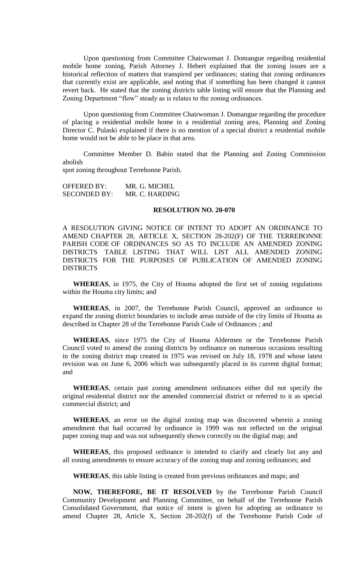Upon questioning from Committee Chairwoman J. Domangue regarding residential mobile home zoning, Parish Attorney J. Hebert explained that the zoning issues are a historical reflection of matters that transpired per ordinances; stating that zoning ordinances that currently exist are applicable, and noting that if something has been changed it cannot revert back. He stated that the zoning districts table listing will ensure that the Planning and Zoning Department "flow" steady as is relates to the zoning ordinances.

Upon questioning from Committee Chairwoman J. Domangue regarding the procedure of placing a residential mobile home in a residential zoning area, Planning and Zoning Director C. Pulaski explained if there is no mention of a special district a residential mobile home would not be able to be place in that area.

Committee Member D. Babin stated that the Planning and Zoning Commission abolish

spot zoning throughout Terrebonne Parish.

OFFERED BY: MR. G. MICHEL<br>SECONDED BY: MR. C. HARDING SECONDED BY:

#### **RESOLUTION NO. 20-070**

A RESOLUTION GIVING NOTICE OF INTENT TO ADOPT AN ORDINANCE TO AMEND CHAPTER 28, ARTICLE X, SECTION 28-202(F) OF THE TERREBONNE PARISH CODE OF ORDINANCES SO AS TO INCLUDE AN AMENDED ZONING DISTRICTS TABLE LISTING THAT WILL LIST ALL AMENDED ZONING DISTRICTS FOR THE PURPOSES OF PUBLICATION OF AMENDED ZONING DISTRICTS

**WHEREAS**, in 1975, the City of Houma adopted the first set of zoning regulations within the Houma city limits; and

**WHEREAS**, in 2007, the Terrebonne Parish Council, approved an ordinance to expand the zoning district boundaries to include areas outside of the city limits of Houma as described in Chapter 28 of the Terrebonne Parish Code of Ordinances ; and

**WHEREAS**, since 1975 the City of Houma Aldermen or the Terrebonne Parish Council voted to amend the zoning districts by ordinance on numerous occasions resulting in the zoning district map created in 1975 was revised on July 18, 1978 and whose latest revision was on June 6, 2006 which was subsequently placed in its current digital format; and

**WHEREAS**, certain past zoning amendment ordinances either did not specify the original residential district nor the amended commercial district or referred to it as special commercial district; and

**WHEREAS**, an error on the digital zoning map was discovered wherein a zoning amendment that had occurred by ordinance in 1999 was not reflected on the original paper zoning map and was not subsequently shown correctly on the digital map; and

**WHEREAS**, this proposed ordinance is intended to clarify and clearly list any and all zoning amendments to ensure accuracy of the zoning map and zoning ordinances; and

**WHEREAS**, this table listing is created from previous ordinances and maps; and

**NOW, THEREFORE, BE IT RESOLVED** by the Terrebonne Parish Council Community Development and Planning Committee, on behalf of the Terrebonne Parish Consolidated Government, that notice of intent is given for adopting an ordinance to amend Chapter 28, Article X, Section 28-202(f) of the Terrebonne Parish Code of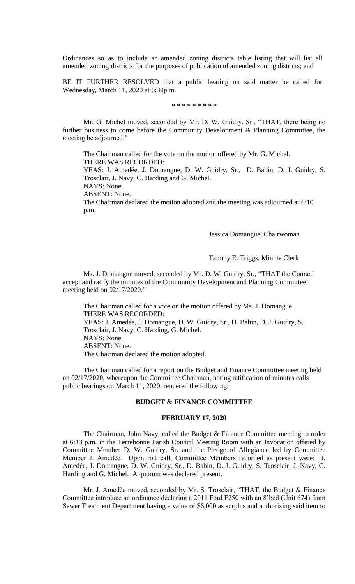Ordinances so as to include an amended zoning districts table listing that will list all amended zoning districts for the purposes of publication of amended zoning districts; and

BE IT FURTHER RESOLVED that a public hearing on said matter be called for Wednesday, March 11, 2020 at 6:30p.m.

\* \* \* \* \* \* \* \* \*

Mr. G. Michel moved, seconded by Mr. D. W. Guidry, Sr., "THAT, there being no further business to come before the Community Development & Planning Committee, the meeting be adjourned."

The Chairman called for the vote on the motion offered by Mr. G. Michel. THERE WAS RECORDED:

YEAS: J. Amedée, J. Domangue, D. W. Guidry, Sr., D. Babin, D. J. Guidry, S. Trosclair, J. Navy, C. Harding and G. Michel.

NAYS: None.

ABSENT: None.

The Chairman declared the motion adopted and the meeting was adjourned at 6:10 p.m.

Jessica Domangue, Chairwoman

Tammy E. Triggs, Minute Clerk

Ms. J. Domangue moved, seconded by Mr. D. W. Guidry, Sr., "THAT the Council accept and ratify the minutes of the Community Development and Planning Committee meeting held on 02/17/2020."

The Chairman called for a vote on the motion offered by Ms. J. Domangue. THERE WAS RECORDED: YEAS: J. Amedée, J. Domangue, D. W. Guidry, Sr., D. Babin, D. J. Guidry, S. Trosclair, J. Navy, C. Harding, G. Michel. NAYS: None. ABSENT: None. The Chairman declared the motion adopted.

The Chairman called for a report on the Budget and Finance Committee meeting held on 02/17/2020, whereupon the Committee Chairman, noting ratification of minutes calls public hearings on March 11, 2020, rendered the following:

### **BUDGET & FINANCE COMMITTEE**

#### **FEBRUARY 17, 2020**

The Chairman, John Navy, called the Budget & Finance Committee meeting to order at 6:13 p.m. in the Terrebonne Parish Council Meeting Room with an Invocation offered by Committee Member D. W. Guidry, Sr. and the Pledge of Allegiance led by Committee Member J. Amedѐe. Upon roll call, Committee Members recorded as present were: J. Amedée, J. Domangue, D. W. Guidry, Sr., D. Babin, D. J. Guidry, S. Trosclair, J. Navy, C. Harding and G. Michel. A quorum was declared present.

Mr. J. Amedèe moved, seconded by Mr. S. Trosclair, "THAT, the Budget & Finance Committee introduce an ordinance declaring a 2011 Ford F250 with an 8'bed (Unit 674) from Sewer Treatment Department having a value of \$6,000 as surplus and authorizing said item to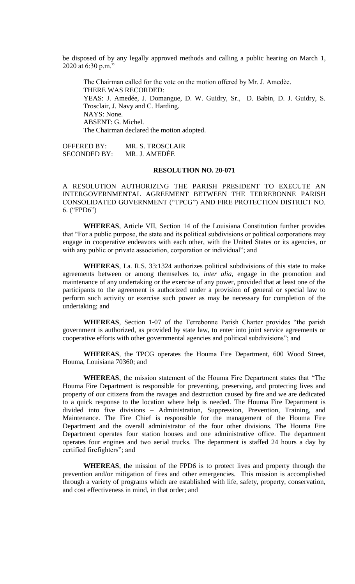be disposed of by any legally approved methods and calling a public hearing on March 1, 2020 at 6:30 p.m."

The Chairman called for the vote on the motion offered by Mr. J. Amedèe. THERE WAS RECORDED: YEAS: J. Amedée, J. Domangue, D. W. Guidry, Sr., D. Babin, D. J. Guidry, S. Trosclair, J. Navy and C. Harding. NAYS: None. ABSENT: G. Michel. The Chairman declared the motion adopted.

OFFERED BY: MR. S. TROSCLAIR SECONDED BY: MR. J. AMEDẾE

## **RESOLUTION NO. 20-071**

A RESOLUTION AUTHORIZING THE PARISH PRESIDENT TO EXECUTE AN INTERGOVERNMENTAL AGREEMENT BETWEEN THE TERREBONNE PARISH CONSOLIDATED GOVERNMENT ("TPCG") AND FIRE PROTECTION DISTRICT NO. 6. ("FPD6")

**WHEREAS**, Article VII, Section 14 of the Louisiana Constitution further provides that "For a public purpose, the state and its political subdivisions or political corporations may engage in cooperative endeavors with each other, with the United States or its agencies, or with any public or private association, corporation or individual"; and

**WHEREAS**, La. R.S. 33:1324 authorizes political subdivisions of this state to make agreements between or among themselves to, *inter alia,* engage in the promotion and maintenance of any undertaking or the exercise of any power, provided that at least one of the participants to the agreement is authorized under a provision of general or special law to perform such activity or exercise such power as may be necessary for completion of the undertaking; and

**WHEREAS**, Section 1-07 of the Terrebonne Parish Charter provides "the parish government is authorized, as provided by state law, to enter into joint service agreements or cooperative efforts with other governmental agencies and political subdivisions"; and

**WHEREAS**, the TPCG operates the Houma Fire Department, 600 Wood Street, Houma, Louisiana 70360; and

**WHEREAS**, the mission statement of the Houma Fire Department states that "The Houma Fire Department is responsible for preventing, preserving, and protecting lives and property of our citizens from the ravages and destruction caused by fire and we are dedicated to a quick response to the location where help is needed. The Houma Fire Department is divided into five divisions – Administration, Suppression, Prevention, Training, and Maintenance. The Fire Chief is responsible for the management of the Houma Fire Department and the overall administrator of the four other divisions. The Houma Fire Department operates four station houses and one administrative office. The department operates four engines and two aerial trucks. The department is staffed 24 hours a day by certified firefighters"; and

**WHEREAS**, the mission of the FPD6 is to protect lives and property through the prevention and/or mitigation of fires and other emergencies. This mission is accomplished through a variety of programs which are established with life, safety, property, conservation, and cost effectiveness in mind, in that order; and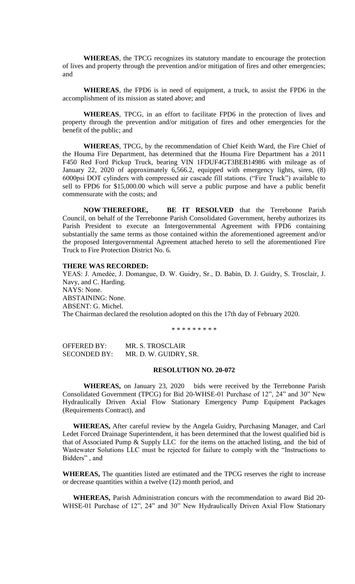**WHEREAS**, the TPCG recognizes its statutory mandate to encourage the protection of lives and property through the prevention and/or mitigation of fires and other emergencies; and

**WHEREAS**, the FPD6 is in need of equipment, a truck, to assist the FPD6 in the accomplishment of its mission as stated above; and

**WHEREAS**, TPCG, in an effort to facilitate FPD6 in the protection of lives and property through the prevention and/or mitigation of fires and other emergencies for the benefit of the public; and

**WHEREAS**, TPCG, by the recommendation of Chief Keith Ward, the Fire Chief of the Houma Fire Department, has determined that the Houma Fire Department has a 2011 F450 Red Ford Pickup Truck, bearing VIN 1FDUF4GT3BEB14986 with mileage as of January 22, 2020 of approximately 6,566.2, equipped with emergency lights, siren, (8) 6000psi DOT cylinders with compressed air cascade fill stations. ("Fire Truck") available to sell to FPD6 for \$15,000.00 which will serve a public purpose and have a public benefit commensurate with the costs; and

**NOW THEREFORE, BE IT RESOLVED** that the Terrebonne Parish Council, on behalf of the Terrebonne Parish Consolidated Government, hereby authorizes its Parish President to execute an Intergovernmental Agreement with FPD6 containing substantially the same terms as those contained within the aforementioned agreement and/or the proposed Intergovernmental Agreement attached hereto to sell the aforementioned Fire Truck to Fire Protection District No. 6.

#### **THERE WAS RECORDED:**

YEAS: J. Amedėe, J. Domangue, D. W. Guidry, Sr., D. Babin, D. J. Guidry, S. Trosclair, J. Navy, and C. Harding. NAYS: None. ABSTAINING: None. ABSENT: G. Michel. The Chairman declared the resolution adopted on this the 17th day of February 2020.

\* \* \* \* \* \* \* \* \*

OFFERED BY: MR. S. TROSCLAIR SECONDED BY: MR. D. W. GUIDRY, SR.

### **RESOLUTION NO. 20-072**

**WHEREAS,** on January 23, 2020 bids were received by the Terrebonne Parish Consolidated Government (TPCG) for Bid 20-WHSE-01 Purchase of 12", 24" and 30" New Hydraulically Driven Axial Flow Stationary Emergency Pump Equipment Packages (Requirements Contract), and

**WHEREAS,** After careful review by the Angela Guidry, Purchasing Manager, and Carl Ledet Forced Drainage Superintendent, it has been determined that the lowest qualified bid is that of Associated Pump & Supply LLC for the items on the attached listing, and the bid of Wastewater Solutions LLC must be rejected for failure to comply with the "Instructions to Bidders" , and

**WHEREAS,** The quantities listed are estimated and the TPCG reserves the right to increase or decrease quantities within a twelve (12) month period, and

**WHEREAS,** Parish Administration concurs with the recommendation to award Bid 20- WHSE-01 Purchase of 12", 24" and 30" New Hydraulically Driven Axial Flow Stationary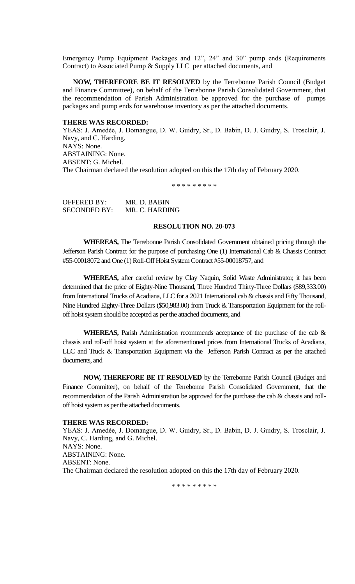Emergency Pump Equipment Packages and 12", 24" and 30" pump ends (Requirements Contract) to Associated Pump & Supply LLC per attached documents, and

**NOW, THEREFORE BE IT RESOLVED** by the Terrebonne Parish Council (Budget and Finance Committee), on behalf of the Terrebonne Parish Consolidated Government, that the recommendation of Parish Administration be approved for the purchase of pumps packages and pump ends for warehouse inventory as per the attached documents.

#### **THERE WAS RECORDED:**

YEAS: J. Amedėe, J. Domangue, D. W. Guidry, Sr., D. Babin, D. J. Guidry, S. Trosclair, J. Navy, and C. Harding. NAYS: None. ABSTAINING: None. ABSENT: G. Michel. The Chairman declared the resolution adopted on this the 17th day of February 2020.

\* \* \* \* \* \* \* \* \*

OFFERED BY: MR. D. BABIN SECONDED BY: MR. C. HARDING

# **RESOLUTION NO. 20-073**

**WHEREAS,** The Terrebonne Parish Consolidated Government obtained pricing through the Jefferson Parish Contract for the purpose of purchasing One (1) International Cab & Chassis Contract #55-00018072 and One (1) Roll-Off Hoist System Contract #55-00018757, and

**WHEREAS,** after careful review by Clay Naquin, Solid Waste Administrator, it has been determined that the price of Eighty-Nine Thousand, Three Hundred Thirty-Three Dollars (\$89,333.00) from International Trucks of Acadiana, LLC for a 2021 International cab & chassis and Fifty Thousand, Nine Hundred Eighty-Three Dollars (\$50,983.00) from Truck & Transportation Equipment for the rolloff hoist system should be accepted as per the attached documents, and

**WHEREAS,** Parish Administration recommends acceptance of the purchase of the cab  $\&$ chassis and roll-off hoist system at the aforementioned prices from International Trucks of Acadiana, LLC and Truck & Transportation Equipment via the Jefferson Parish Contract as per the attached documents, and

**NOW, THEREFORE BE IT RESOLVED** by the Terrebonne Parish Council (Budget and Finance Committee), on behalf of the Terrebonne Parish Consolidated Government, that the recommendation of the Parish Administration be approved for the purchase the cab & chassis and rolloff hoist system as per the attached documents.

### **THERE WAS RECORDED:**

YEAS: J. Amedėe, J. Domangue, D. W. Guidry, Sr., D. Babin, D. J. Guidry, S. Trosclair, J. Navy, C. Harding, and G. Michel. NAYS: None. ABSTAINING: None. ABSENT: None. The Chairman declared the resolution adopted on this the 17th day of February 2020.

\* \* \* \* \* \* \* \* \*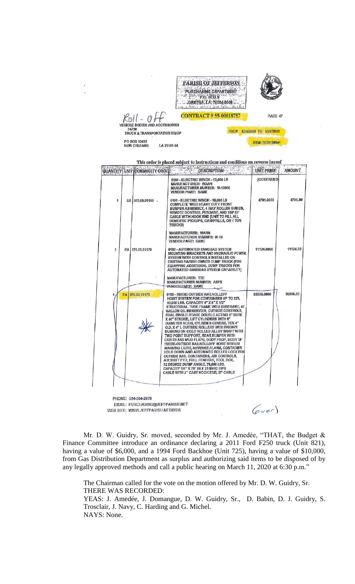|                                                  | <b>PARISH OF 3</b><br><b>PURCHASING DEPART</b> | $P.O.$ BOX 9<br>GRETNA, LA: 70054-0009<br>at minister in provident |                  |
|--------------------------------------------------|------------------------------------------------|--------------------------------------------------------------------|------------------|
|                                                  |                                                | <b>CONTRACT #55-00018757</b>                                       | PAGE 47          |
| <b>VEHICLE BODIES AND ACCESSORIES</b>            |                                                |                                                                    |                  |
| 34730<br><b>TRUCK &amp; TRANSPORTATION EQUIP</b> |                                                | 1/28/2020 TO<br><b>FROM</b>                                        | 1/27/2022        |
| PO BOX 10455                                     |                                                |                                                                    | BID#: 5000126941 |
| <b>NEW ORLEANS</b>                               | LA 70181-04                                    |                                                                    |                  |

| <b>QUANTITY</b> UNIT |    | COMMODITY CODE    | DESCRIPTION<br>intelliers of                                                                                                                                                                                                                                                                                                                                                                                                                                                                                                                                                                                                                                                                                                                                                                                                                                       | UNT PRICE   | <b>AMOUNT</b> |
|----------------------|----|-------------------|--------------------------------------------------------------------------------------------------------------------------------------------------------------------------------------------------------------------------------------------------------------------------------------------------------------------------------------------------------------------------------------------------------------------------------------------------------------------------------------------------------------------------------------------------------------------------------------------------------------------------------------------------------------------------------------------------------------------------------------------------------------------------------------------------------------------------------------------------------------------|-------------|---------------|
|                      |    |                   | 0190 - ELECTRIC WINCH - 12,000 LB<br><b>MANUFACTURER: WARN</b><br><b>MANUFACTURER NUMBER: M-12000</b><br><b>VENDOR PART: SAME</b>                                                                                                                                                                                                                                                                                                                                                                                                                                                                                                                                                                                                                                                                                                                                  | (CONTINUED) |               |
| 1                    |    | EA 070.08.01165 . | 0191 - ELECTRIC WINCH - 15,000 LB<br>COMPLETE WITH HEAVY DUTY FRONT<br>BUMPER ASSEMBLY, 4 WAY ROLLER GUIDES,<br>REMOTE CONTROL PENDANT, AND 150' OF<br><b>CABLE WITH HOOK END (UNIT TO FILL ALL</b><br>DOMESTIC PICKUPS, CARRYALLS, OR 1 TON<br><b>TRUCKS)</b>                                                                                                                                                                                                                                                                                                                                                                                                                                                                                                                                                                                                     | 4791.0000   | 4791.00       |
|                      |    |                   | <b>MANUFACTURER: WARN</b><br><b>MANUFACTURER NUMBER: M-16</b><br><b>VENDOR PART: SAME</b>                                                                                                                                                                                                                                                                                                                                                                                                                                                                                                                                                                                                                                                                                                                                                                          |             |               |
| 1                    | EA | 070.08.01170      | 0192 - AUTOMATED SANDBAG SYSTEM<br>MOUNTING BRACKETS AND HYDRAULIC POWER<br>SYSTEM WITH CONTROLS INSTALLED ON<br>EXISTING PARISH OWNED DUMP TRUCK (FOR<br><b>EQUIPPING ADDITIONAL DUMP TRUCKS FOR</b><br><b>AUTOMATED SANDBAG SYSTEM CAPABILITY)</b>                                                                                                                                                                                                                                                                                                                                                                                                                                                                                                                                                                                                               | 11124.0000  | 11124.00      |
|                      |    |                   | <b>MANUFACTURER: TTE</b><br><b>MANUFACTURER NUMBER: ASPS</b><br>VENDOR PART: SAME                                                                                                                                                                                                                                                                                                                                                                                                                                                                                                                                                                                                                                                                                                                                                                                  |             |               |
|                      | EA | 070.08.01175      | 0193 - INSIDE-OUTSIDE RAILROLLOFF<br>HOIST SYSTEM FOR CONTAINERS UP TO 22'L<br>60,000 LBS, CAPACITY 4" X 8" X 1/2"<br>STRUCTURAL TUBE FRAME WITH SUBFRAME, 47<br>GALLON OIL RESERVOIR, OUTSIDE CONTROLS,<br>DUAL SINGLE STAGE DOUBLE ACTING 6" BORE<br>X 80" STROKE, LIFT CYLINDERS WITH 5"<br>DIAMETER RODS, CYLINDER COVERS, TEN 4"<br>O.D. X 4" L OUTSIDE ROLLERS WITH BRONZE<br>BUSHING ON COLD ROLLED ALLOY SHAFT WITH<br>TWO POINT SUPPORT, REAR BUMPER WITH<br>LIGHTS AND MUD FLAPS, BODY PROP, BODY UP<br>INSIDE-OUTSIDE RAILROLLOFF HOIST SYSTEM<br>WARNING LIGHT, REVERSE ALARM, CONTAINER<br>HOLD DOWN AND AUTOMATIC ROLLER LOCK FOR<br><b>OUTSIDE RAIL CONTAINERS, AIR CONTROLS,</b><br>AIR SHIFT PTO, FULL FENDERS, TOOL BOX,<br>52 DEGREE DUMP ANGLE, 79,600 LBS.<br>CAPACITY 7/8" X 75' X6 X 25 IWRC EIPS<br>CABLE WITH 2" CAST HOOK END, 27' CABLE | 50336,0000  | 50336.00      |

EMAIL: PURCHASING@JEFFPARISH.NET WEB SITE: WWW.JEFFPARISH.NET/BIDS

 $(\nabla v e^r)$ 

Mr. D. W. Guidry, Sr. moved, seconded by Mr. J. Amedèe, "THAT, the Budget & Finance Committee introduce an ordinance declaring a 2011 Ford F250 truck (Unit 821), having a value of \$6,000, and a 1994 Ford Backhoe (Unit 725), having a value of \$10,000, from Gas Distribution Department as surplus and authorizing said items to be disposed of by any legally approved methods and call a public hearing on March 11, 2020 at 6:30 p.m."

The Chairman called for the vote on the motion offered by Mr. D. W. Guidry, Sr. THERE WAS RECORDED: YEAS: J. Amedée, J. Domangue, D. W. Guidry, Sr., D. Babin, D. J. Guidry, S. Trosclair, J. Navy, C. Harding and G. Michel.

NAYS: None.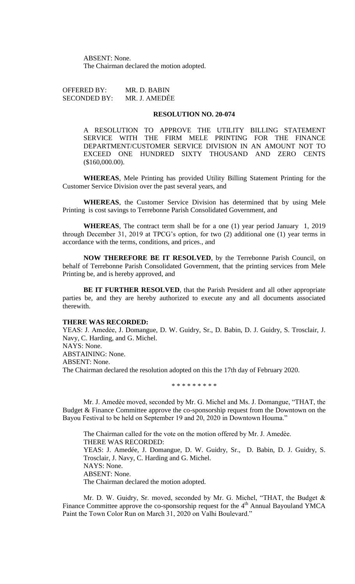ABSENT: None. The Chairman declared the motion adopted.

OFFERED BY: MR. D. BABIN SECONDED BY: MR. J. AMEDẾE

### **RESOLUTION NO. 20-074**

A RESOLUTION TO APPROVE THE UTILITY BILLING STATEMENT SERVICE WITH THE FIRM MELE PRINTING FOR THE FINANCE DEPARTMENT/CUSTOMER SERVICE DIVISION IN AN AMOUNT NOT TO EXCEED ONE HUNDRED SIXTY THOUSAND AND ZERO CENTS (\$160,000.00).

**WHEREAS**, Mele Printing has provided Utility Billing Statement Printing for the Customer Service Division over the past several years, and

**WHEREAS**, the Customer Service Division has determined that by using Mele Printing is cost savings to Terrebonne Parish Consolidated Government, and

**WHEREAS**, The contract term shall be for a one (1) year period January 1, 2019 through December 31, 2019 at TPCG's option, for two (2) additional one (1) year terms in accordance with the terms, conditions, and prices., and

**NOW THEREFORE BE IT RESOLVED**, by the Terrebonne Parish Council, on behalf of Terrebonne Parish Consolidated Government, that the printing services from Mele Printing be, and is hereby approved, and

**BE IT FURTHER RESOLVED**, that the Parish President and all other appropriate parties be, and they are hereby authorized to execute any and all documents associated therewith.

### **THERE WAS RECORDED:**

YEAS: J. Amedẻe, J. Domangue, D. W. Guidry, Sr., D. Babin, D. J. Guidry, S. Trosclair, J. Navy, C. Harding, and G. Michel. NAYS: None. ABSTAINING: None. ABSENT: None. The Chairman declared the resolution adopted on this the 17th day of February 2020.

\* \* \* \* \* \* \* \* \*

Mr. J. Amedѐe moved, seconded by Mr. G. Michel and Ms. J. Domangue, "THAT, the Budget & Finance Committee approve the co-sponsorship request from the Downtown on the Bayou Festival to be held on September 19 and 20, 2020 in Downtown Houma."

The Chairman called for the vote on the motion offered by Mr. J. Amedèe. THERE WAS RECORDED: YEAS: J. Amedée, J. Domangue, D. W. Guidry, Sr., D. Babin, D. J. Guidry, S. Trosclair, J. Navy, C. Harding and G. Michel. NAYS: None. ABSENT: None. The Chairman declared the motion adopted.

Mr. D. W. Guidry, Sr. moved, seconded by Mr. G. Michel, "THAT, the Budget & Finance Committee approve the co-sponsorship request for the  $4<sup>th</sup>$  Annual Bayouland YMCA Paint the Town Color Run on March 31, 2020 on Valhi Boulevard."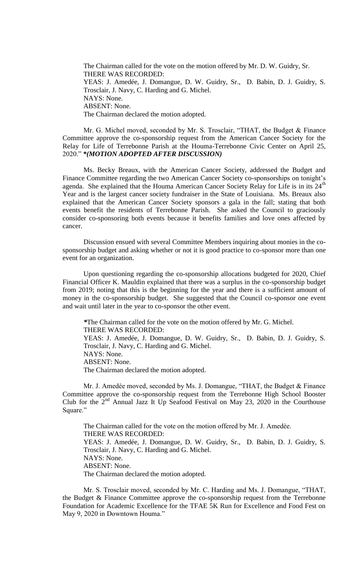The Chairman called for the vote on the motion offered by Mr. D. W. Guidry, Sr. THERE WAS RECORDED: YEAS: J. Amedée, J. Domangue, D. W. Guidry, Sr., D. Babin, D. J. Guidry, S. Trosclair, J. Navy, C. Harding and G. Michel. NAYS: None. ABSENT: None. The Chairman declared the motion adopted.

Mr. G. Michel moved, seconded by Mr. S. Trosclair, "THAT, the Budget & Finance Committee approve the co-sponsorship request from the American Cancer Society for the Relay for Life of Terrebonne Parish at the Houma-Terrebonne Civic Center on April 25, 2020." *\*(MOTION ADOPTED AFTER DISCUSSION)* 

Ms. Becky Breaux, with the American Cancer Society, addressed the Budget and Finance Committee regarding the two American Cancer Society co-sponsorships on tonight's agenda. She explained that the Houma American Cancer Society Relay for Life is in its 24<sup>th</sup> Year and is the largest cancer society fundraiser in the State of Louisiana. Ms. Breaux also explained that the American Cancer Society sponsors a gala in the fall; stating that both events benefit the residents of Terrebonne Parish. She asked the Council to graciously consider co-sponsoring both events because it benefits families and love ones affected by cancer.

Discussion ensued with several Committee Members inquiring about monies in the cosponsorship budget and asking whether or not it is good practice to co-sponsor more than one event for an organization.

Upon questioning regarding the co-sponsorship allocations budgeted for 2020, Chief Financial Officer K. Mauldin explained that there was a surplus in the co-sponsorship budget from 2019; noting that this is the beginning for the year and there is a sufficient amount of money in the co-sponsorship budget. She suggested that the Council co-sponsor one event and wait until later in the year to co-sponsor the other event.

*\**The Chairman called for the vote on the motion offered by Mr. G. Michel. THERE WAS RECORDED: YEAS: J. Amedée, J. Domangue, D. W. Guidry, Sr., D. Babin, D. J. Guidry, S. Trosclair, J. Navy, C. Harding and G. Michel. NAYS: None. ABSENT: None. The Chairman declared the motion adopted.

Mr. J. Amedèe moved, seconded by Ms. J. Domangue, "THAT, the Budget & Finance Committee approve the co-sponsorship request from the Terrebonne High School Booster Club for the  $2<sup>nd</sup>$  Annual Jazz It Up Seafood Festival on May 23, 2020 in the Courthouse Square."

The Chairman called for the vote on the motion offered by Mr. J. Amedèe. THERE WAS RECORDED: YEAS: J. Amedée, J. Domangue, D. W. Guidry, Sr., D. Babin, D. J. Guidry, S. Trosclair, J. Navy, C. Harding and G. Michel. NAYS: None. ABSENT: None. The Chairman declared the motion adopted.

Mr. S. Trosclair moved, seconded by Mr. C. Harding and Ms. J. Domangue, "THAT, the Budget & Finance Committee approve the co-sponsorship request from the Terrebonne Foundation for Academic Excellence for the TFAE 5K Run for Excellence and Food Fest on May 9, 2020 in Downtown Houma."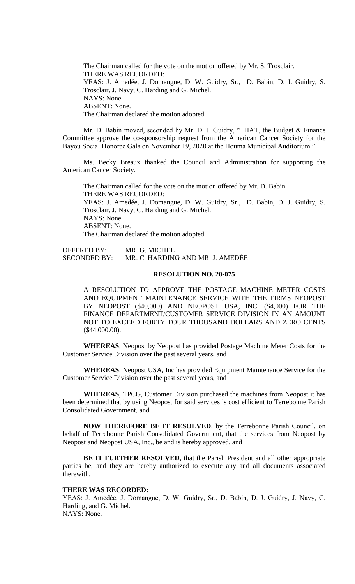The Chairman called for the vote on the motion offered by Mr. S. Trosclair. THERE WAS RECORDED: YEAS: J. Amedée, J. Domangue, D. W. Guidry, Sr., D. Babin, D. J. Guidry, S. Trosclair, J. Navy, C. Harding and G. Michel. NAYS: None. ABSENT: None. The Chairman declared the motion adopted.

Mr. D. Babin moved, seconded by Mr. D. J. Guidry, "THAT, the Budget & Finance Committee approve the co-sponsorship request from the American Cancer Society for the Bayou Social Honoree Gala on November 19, 2020 at the Houma Municipal Auditorium."

Ms. Becky Breaux thanked the Council and Administration for supporting the American Cancer Society.

The Chairman called for the vote on the motion offered by Mr. D. Babin. THERE WAS RECORDED: YEAS: J. Amedée, J. Domangue, D. W. Guidry, Sr., D. Babin, D. J. Guidry, S. Trosclair, J. Navy, C. Harding and G. Michel. NAYS: None. ABSENT: None. The Chairman declared the motion adopted.

OFFERED BY: MR. G. MICHEL SECONDED BY: MR. C. HARDING AND MR. J. AMEDẾE

### **RESOLUTION NO. 20-075**

A RESOLUTION TO APPROVE THE POSTAGE MACHINE METER COSTS AND EQUIPMENT MAINTENANCE SERVICE WITH THE FIRMS NEOPOST BY NEOPOST (\$40,000) AND NEOPOST USA, INC. (\$4,000) FOR THE FINANCE DEPARTMENT/CUSTOMER SERVICE DIVISION IN AN AMOUNT NOT TO EXCEED FORTY FOUR THOUSAND DOLLARS AND ZERO CENTS (\$44,000.00).

**WHEREAS**, Neopost by Neopost has provided Postage Machine Meter Costs for the Customer Service Division over the past several years, and

**WHEREAS**, Neopost USA, Inc has provided Equipment Maintenance Service for the Customer Service Division over the past several years, and

**WHEREAS**, TPCG, Customer Division purchased the machines from Neopost it has been determined that by using Neopost for said services is cost efficient to Terrebonne Parish Consolidated Government, and

**NOW THEREFORE BE IT RESOLVED**, by the Terrebonne Parish Council, on behalf of Terrebonne Parish Consolidated Government, that the services from Neopost by Neopost and Neopost USA, Inc., be and is hereby approved, and

**BE IT FURTHER RESOLVED**, that the Parish President and all other appropriate parties be, and they are hereby authorized to execute any and all documents associated therewith.

### **THERE WAS RECORDED:**

YEAS: J. Amedėe, J. Domangue, D. W. Guidry, Sr., D. Babin, D. J. Guidry, J. Navy, C. Harding, and G. Michel. NAYS: None.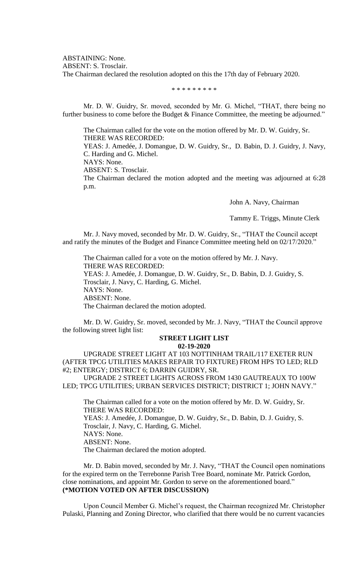ABSTAINING: None.

ABSENT: S. Trosclair.

The Chairman declared the resolution adopted on this the 17th day of February 2020.

\* \* \* \* \* \* \* \* \*

Mr. D. W. Guidry, Sr. moved, seconded by Mr. G. Michel, "THAT, there being no further business to come before the Budget & Finance Committee, the meeting be adjourned."

The Chairman called for the vote on the motion offered by Mr. D. W. Guidry, Sr. THERE WAS RECORDED:

YEAS: J. Amedée, J. Domangue, D. W. Guidry, Sr., D. Babin, D. J. Guidry, J. Navy, C. Harding and G. Michel.

NAYS: None.

ABSENT: S. Trosclair.

The Chairman declared the motion adopted and the meeting was adjourned at 6:28 p.m.

John A. Navy, Chairman

Tammy E. Triggs, Minute Clerk

Mr. J. Navy moved, seconded by Mr. D. W. Guidry, Sr., "THAT the Council accept and ratify the minutes of the Budget and Finance Committee meeting held on 02/17/2020."

The Chairman called for a vote on the motion offered by Mr. J. Navy. THERE WAS RECORDED: YEAS: J. Amedée, J. Domangue, D. W. Guidry, Sr., D. Babin, D. J. Guidry, S. Trosclair, J. Navy, C. Harding, G. Michel. NAYS: None. ABSENT: None. The Chairman declared the motion adopted.

Mr. D. W. Guidry, Sr. moved, seconded by Mr. J. Navy, "THAT the Council approve the following street light list:

# **STREET LIGHT LIST**

### **02-19-2020**

UPGRADE STREET LIGHT AT 103 NOTTINHAM TRAIL/117 EXETER RUN (AFTER TPCG UTILITIES MAKES REPAIR TO FIXTURE) FROM HPS TO LED; RLD #2; ENTERGY; DISTRICT 6; DARRIN GUIDRY, SR.

UPGRADE 2 STREET LIGHTS ACROSS FROM 1430 GAUTREAUX TO 100W LED; TPCG UTILITIES; URBAN SERVICES DISTRICT; DISTRICT 1; JOHN NAVY."

The Chairman called for a vote on the motion offered by Mr. D. W. Guidry, Sr. THERE WAS RECORDED: YEAS: J. Amedée, J. Domangue, D. W. Guidry, Sr., D. Babin, D. J. Guidry, S. Trosclair, J. Navy, C. Harding, G. Michel. NAYS: None. ABSENT: None. The Chairman declared the motion adopted.

Mr. D. Babin moved, seconded by Mr. J. Navy, "THAT the Council open nominations for the expired term on the Terrebonne Parish Tree Board, nominate Mr. Patrick Gordon, close nominations, and appoint Mr. Gordon to serve on the aforementioned board." **(\*MOTION VOTED ON AFTER DISCUSSION)**

Upon Council Member G. Michel's request, the Chairman recognized Mr. Christopher Pulaski, Planning and Zoning Director, who clarified that there would be no current vacancies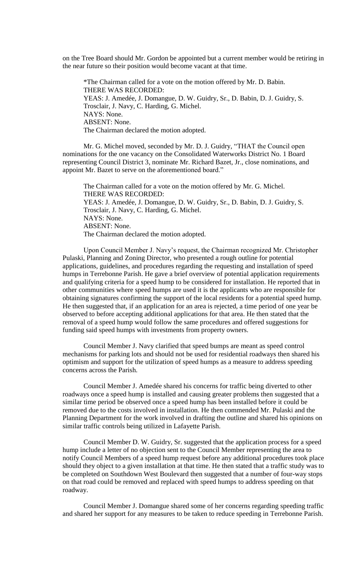on the Tree Board should Mr. Gordon be appointed but a current member would be retiring in the near future so their position would become vacant at that time.

\*The Chairman called for a vote on the motion offered by Mr. D. Babin. THERE WAS RECORDED: YEAS: J. Amedée, J. Domangue, D. W. Guidry, Sr., D. Babin, D. J. Guidry, S. Trosclair, J. Navy, C. Harding, G. Michel. NAYS: None. ABSENT: None. The Chairman declared the motion adopted.

Mr. G. Michel moved, seconded by Mr. D. J. Guidry, "THAT the Council open nominations for the one vacancy on the Consolidated Waterworks District No. 1 Board representing Council District 3, nominate Mr. Richard Bazet, Jr., close nominations, and appoint Mr. Bazet to serve on the aforementioned board."

The Chairman called for a vote on the motion offered by Mr. G. Michel. THERE WAS RECORDED: YEAS: J. Amedée, J. Domangue, D. W. Guidry, Sr., D. Babin, D. J. Guidry, S. Trosclair, J. Navy, C. Harding, G. Michel. NAYS: None. ABSENT: None. The Chairman declared the motion adopted.

Upon Council Member J. Navy's request, the Chairman recognized Mr. Christopher Pulaski, Planning and Zoning Director, who presented a rough outline for potential applications, guidelines, and procedures regarding the requesting and installation of speed humps in Terrebonne Parish. He gave a brief overview of potential application requirements and qualifying criteria for a speed hump to be considered for installation. He reported that in other communities where speed humps are used it is the applicants who are responsible for obtaining signatures confirming the support of the local residents for a potential speed hump. He then suggested that, if an application for an area is rejected, a time period of one year be observed to before accepting additional applications for that area. He then stated that the removal of a speed hump would follow the same procedures and offered suggestions for funding said speed humps with investments from property owners.

Council Member J. Navy clarified that speed bumps are meant as speed control mechanisms for parking lots and should not be used for residential roadways then shared his optimism and support for the utilization of speed humps as a measure to address speeding concerns across the Parish.

Council Member J. Amedée shared his concerns for traffic being diverted to other roadways once a speed hump is installed and causing greater problems then suggested that a similar time period be observed once a speed hump has been installed before it could be removed due to the costs involved in installation. He then commended Mr. Pulaski and the Planning Department for the work involved in drafting the outline and shared his opinions on similar traffic controls being utilized in Lafayette Parish.

Council Member D. W. Guidry, Sr. suggested that the application process for a speed hump include a letter of no objection sent to the Council Member representing the area to notify Council Members of a speed hump request before any additional procedures took place should they object to a given installation at that time. He then stated that a traffic study was to be completed on Southdown West Boulevard then suggested that a number of four-way stops on that road could be removed and replaced with speed humps to address speeding on that roadway.

Council Member J. Domangue shared some of her concerns regarding speeding traffic and shared her support for any measures to be taken to reduce speeding in Terrebonne Parish.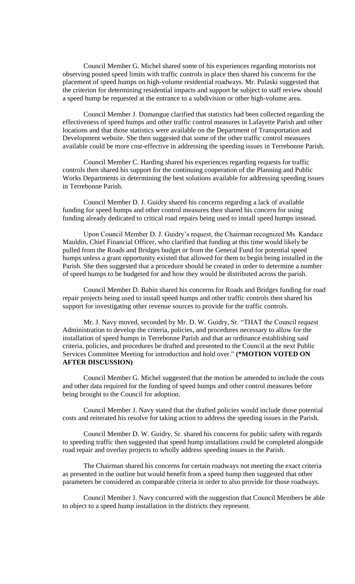Council Member G. Michel shared some of his experiences regarding motorists not observing posted speed limits with traffic controls in place then shared his concerns for the placement of speed humps on high-volume residential roadways. Mr. Pulaski suggested that the criterion for determining residential impacts and support be subject to staff review should a speed hump be requested at the entrance to a subdivision or other high-volume area.

Council Member J. Domangue clarified that statistics had been collected regarding the effectiveness of speed humps and other traffic control measures in Lafayette Parish and other locations and that those statistics were available on the Department of Transportation and Development website. She then suggested that some of the other traffic control measures available could be more cost-effective in addressing the speeding issues in Terrebonne Parish.

Council Member C. Harding shared his experiences regarding requests for traffic controls then shared his support for the continuing cooperation of the Planning and Public Works Departments in determining the best solutions available for addressing speeding issues in Terrebonne Parish.

Council Member D. J. Guidry shared his concerns regarding a lack of available funding for speed humps and other control measures then shared his concern for using funding already dedicated to critical road repairs being used to install speed humps instead.

Upon Council Member D. J. Guidry's request, the Chairman recognized Ms. Kandace Mauldin, Chief Financial Officer, who clarified that funding at this time would likely be pulled from the Roads and Bridges budget or from the General Fund for potential speed humps unless a grant opportunity existed that allowed for them to begin being installed in the Parish. She then suggested that a procedure should be created in order to determine a number of speed humps to be budgeted for and how they would be distributed across the parish.

Council Member D. Babin shared his concerns for Roads and Bridges funding for road repair projects being used to install speed humps and other traffic controls then shared his support for investigating other revenue sources to provide for the traffic controls.

Mr. J. Navy moved, seconded by Mr. D. W. Guidry, Sr. "THAT the Council request Administration to develop the criteria, policies, and procedures necessary to allow for the installation of speed humps in Terrebonne Parish and that an ordinance establishing said criteria, policies, and procedures be drafted and presented to the Council at the next Public Services Committee Meeting for introduction and hold over." **(\*MOTION VOTED ON AFTER DISCUSSION)**

Council Member G. Michel suggested that the motion be amended to include the costs and other data required for the funding of speed humps and other control measures before being brought to the Council for adoption.

Council Member J. Navy stated that the drafted policies would include those potential costs and reiterated his resolve for taking action to address the speeding issues in the Parish.

Council Member D. W. Guidry, Sr. shared his concerns for public safety with regards to speeding traffic then suggested that speed hump installations could be completed alongside road repair and overlay projects to wholly address speeding issues in the Parish.

The Chairman shared his concerns for certain roadways not meeting the exact criteria as presented in the outline but would benefit from a speed hump then suggested that other parameters be considered as comparable criteria in order to also provide for those roadways.

Council Member J. Navy concurred with the suggestion that Council Members be able to object to a speed hump installation in the districts they represent.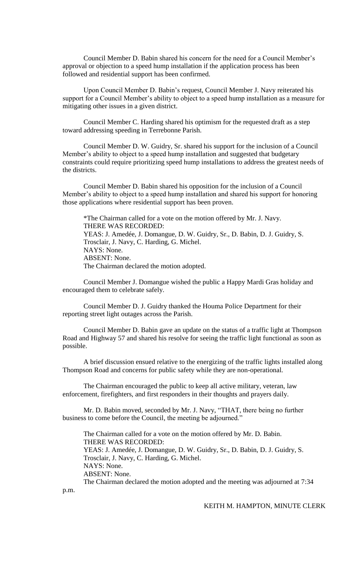Council Member D. Babin shared his concern for the need for a Council Member's approval or objection to a speed hump installation if the application process has been followed and residential support has been confirmed.

Upon Council Member D. Babin's request, Council Member J. Navy reiterated his support for a Council Member's ability to object to a speed hump installation as a measure for mitigating other issues in a given district.

Council Member C. Harding shared his optimism for the requested draft as a step toward addressing speeding in Terrebonne Parish.

Council Member D. W. Guidry, Sr. shared his support for the inclusion of a Council Member's ability to object to a speed hump installation and suggested that budgetary constraints could require prioritizing speed hump installations to address the greatest needs of the districts.

Council Member D. Babin shared his opposition for the inclusion of a Council Member's ability to object to a speed hump installation and shared his support for honoring those applications where residential support has been proven.

\*The Chairman called for a vote on the motion offered by Mr. J. Navy. THERE WAS RECORDED: YEAS: J. Amedée, J. Domangue, D. W. Guidry, Sr., D. Babin, D. J. Guidry, S. Trosclair, J. Navy, C. Harding, G. Michel. NAYS: None. ABSENT: None. The Chairman declared the motion adopted.

Council Member J. Domangue wished the public a Happy Mardi Gras holiday and encouraged them to celebrate safely.

Council Member D. J. Guidry thanked the Houma Police Department for their reporting street light outages across the Parish.

Council Member D. Babin gave an update on the status of a traffic light at Thompson Road and Highway 57 and shared his resolve for seeing the traffic light functional as soon as possible.

A brief discussion ensued relative to the energizing of the traffic lights installed along Thompson Road and concerns for public safety while they are non-operational.

The Chairman encouraged the public to keep all active military, veteran, law enforcement, firefighters, and first responders in their thoughts and prayers daily.

Mr. D. Babin moved, seconded by Mr. J. Navy, "THAT, there being no further business to come before the Council, the meeting be adjourned."

The Chairman called for a vote on the motion offered by Mr. D. Babin. THERE WAS RECORDED: YEAS: J. Amedée, J. Domangue, D. W. Guidry, Sr., D. Babin, D. J. Guidry, S. Trosclair, J. Navy, C. Harding, G. Michel. NAYS: None. ABSENT: None. The Chairman declared the motion adopted and the meeting was adjourned at 7:34

p.m.

### KEITH M. HAMPTON, MINUTE CLERK